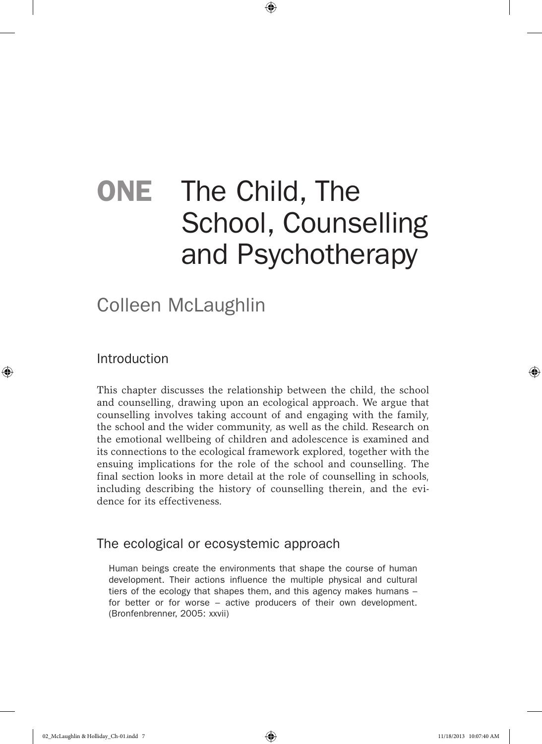# ONE The Child, The School, Counselling and Psychotherapy

 $\bigoplus$ 

Colleen McLaughlin

## Introduction

⊕

This chapter discusses the relationship between the child, the school and counselling, drawing upon an ecological approach. We argue that counselling involves taking account of and engaging with the family, the school and the wider community, as well as the child. Research on the emotional wellbeing of children and adolescence is examined and its connections to the ecological framework explored, together with the ensuing implications for the role of the school and counselling. The final section looks in more detail at the role of counselling in schools, including describing the history of counselling therein, and the evidence for its effectiveness.

### The ecological or ecosystemic approach

Human beings create the environments that shape the course of human development. Their actions influence the multiple physical and cultural tiers of the ecology that shapes them, and this agency makes humans – for better or for worse – active producers of their own development. (Bronfenbrenner, 2005: xxvii)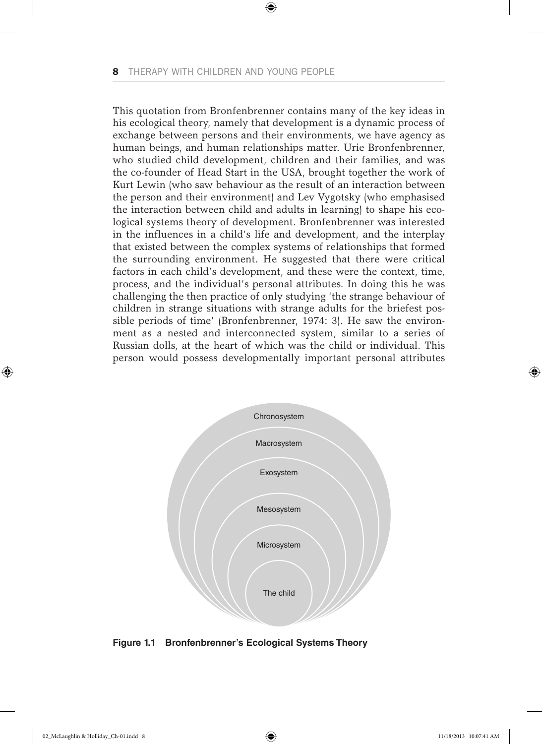#### 8 THERAPY WITH CHILDREN AND YOUNG PEOPLE

This quotation from Bronfenbrenner contains many of the key ideas in his ecological theory, namely that development is a dynamic process of exchange between persons and their environments, we have agency as human beings, and human relationships matter. Urie Bronfenbrenner, who studied child development, children and their families, and was the co-founder of Head Start in the USA, brought together the work of Kurt Lewin (who saw behaviour as the result of an interaction between the person and their environment) and Lev Vygotsky (who emphasised the interaction between child and adults in learning) to shape his ecological systems theory of development. Bronfenbrenner was interested in the influences in a child's life and development, and the interplay that existed between the complex systems of relationships that formed the surrounding environment. He suggested that there were critical factors in each child's development, and these were the context, time, process, and the individual's personal attributes. In doing this he was challenging the then practice of only studying 'the strange behaviour of children in strange situations with strange adults for the briefest possible periods of time' (Bronfenbrenner, 1974: 3). He saw the environment as a nested and interconnected system, similar to a series of Russian dolls, at the heart of which was the child or individual. This person would possess developmentally important personal attributes

 $\bigoplus$ 



**Figure 1.1 Bronfenbrenner's Ecological Systems Theory**

♠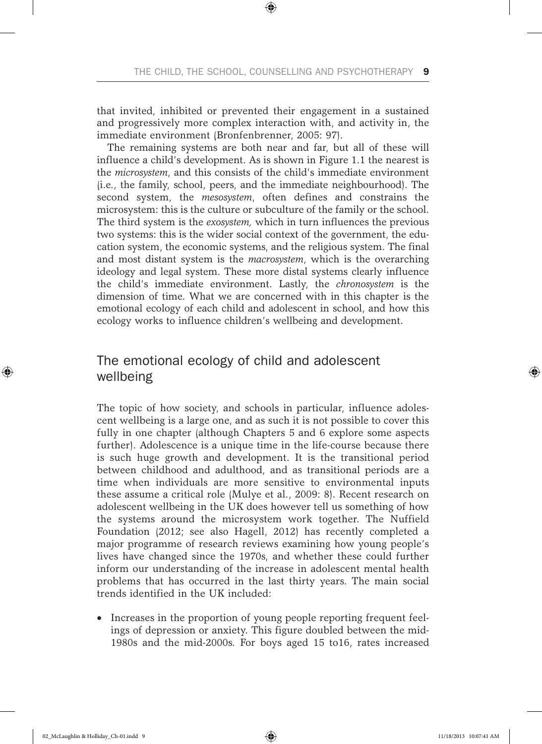that invited, inhibited or prevented their engagement in a sustained and progressively more complex interaction with, and activity in, the immediate environment (Bronfenbrenner, 2005: 97).

The remaining systems are both near and far, but all of these will influence a child's development. As is shown in Figure 1.1 the nearest is the *microsystem*, and this consists of the child's immediate environment (i.e., the family, school, peers, and the immediate neighbourhood). The second system, the *mesosystem*, often defines and constrains the microsystem: this is the culture or subculture of the family or the school. The third system is the *exosystem,* which in turn influences the previous two systems: this is the wider social context of the government, the education system, the economic systems, and the religious system. The final and most distant system is the *macrosystem*, which is the overarching ideology and legal system. These more distal systems clearly influence the child's immediate environment. Lastly, the *chronosystem* is the dimension of time. What we are concerned with in this chapter is the emotional ecology of each child and adolescent in school, and how this ecology works to influence children's wellbeing and development.

# The emotional ecology of child and adolescent wellbeing

The topic of how society, and schools in particular, influence adolescent wellbeing is a large one, and as such it is not possible to cover this fully in one chapter (although Chapters 5 and 6 explore some aspects further). Adolescence is a unique time in the life-course because there is such huge growth and development. It is the transitional period between childhood and adulthood, and as transitional periods are a time when individuals are more sensitive to environmental inputs these assume a critical role (Mulye et al., 2009: 8). Recent research on adolescent wellbeing in the UK does however tell us something of how the systems around the microsystem work together. The Nuffield Foundation (2012; see also Hagell, 2012) has recently completed a major programme of research reviews examining how young people's lives have changed since the 1970s, and whether these could further inform our understanding of the increase in adolescent mental health problems that has occurred in the last thirty years. The main social trends identified in the UK included:

• Increases in the proportion of young people reporting frequent feelings of depression or anxiety. This figure doubled between the mid-1980s and the mid-2000s. For boys aged 15 to16, rates increased

02\_McLaughlin & Holliday\_Ch-01.indd 9 11/18/2013 10:07:41 AM

♠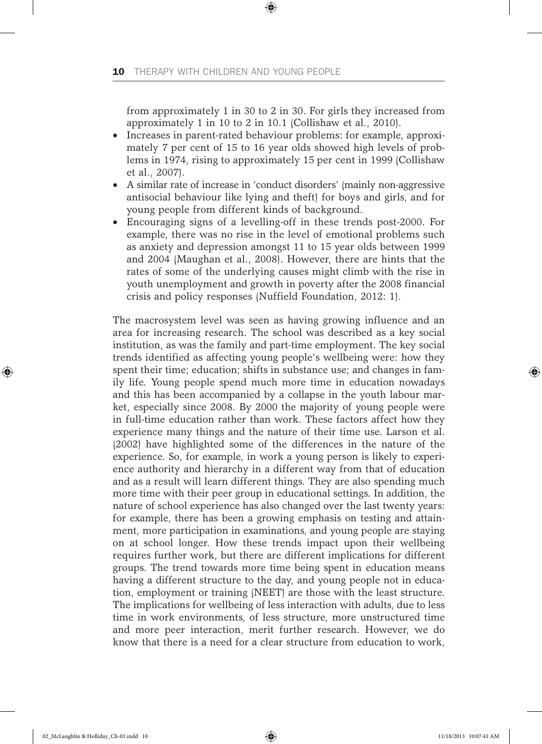from approximately 1 in 30 to 2 in 30. For girls they increased from approximately 1 in 10 to 2 in 10.1 (Collishaw et al., 2010).

 $\textcircled{\scriptsize{*}}$ 

- Increases in parent-rated behaviour problems: for example, approximately 7 per cent of 15 to 16 year olds showed high levels of problems in 1974, rising to approximately 15 per cent in 1999 (Collishaw et al., 2007).
- A similar rate of increase in 'conduct disorders' (mainly non-aggressive antisocial behaviour like lying and theft) for boys and girls, and for young people from different kinds of background.
- Encouraging signs of a levelling-off in these trends post-2000. For example, there was no rise in the level of emotional problems such as anxiety and depression amongst 11 to 15 year olds between 1999 and 2004 (Maughan et al., 2008). However, there are hints that the rates of some of the underlying causes might climb with the rise in youth unemployment and growth in poverty after the 2008 financial crisis and policy responses (Nuffield Foundation, 2012: 1).

The macrosystem level was seen as having growing influence and an area for increasing research. The school was described as a key social institution, as was the family and part-time employment. The key social trends identified as affecting young people's wellbeing were: how they spent their time; education; shifts in substance use; and changes in family life. Young people spend much more time in education nowadays and this has been accompanied by a collapse in the youth labour market, especially since 2008. By 2000 the majority of young people were in full-time education rather than work. These factors affect how they experience many things and the nature of their time use. Larson et al. (2002) have highlighted some of the differences in the nature of the experience. So, for example, in work a young person is likely to experience authority and hierarchy in a different way from that of education and as a result will learn different things. They are also spending much more time with their peer group in educational settings. In addition, the nature of school experience has also changed over the last twenty years: for example, there has been a growing emphasis on testing and attainment, more participation in examinations, and young people are staying on at school longer. How these trends impact upon their wellbeing requires further work, but there are different implications for different groups. The trend towards more time being spent in education means having a different structure to the day, and young people not in education, employment or training (NEET) are those with the least structure. The implications for wellbeing of less interaction with adults, due to less time in work environments, of less structure, more unstructured time and more peer interaction, merit further research. However, we do know that there is a need for a clear structure from education to work,

♠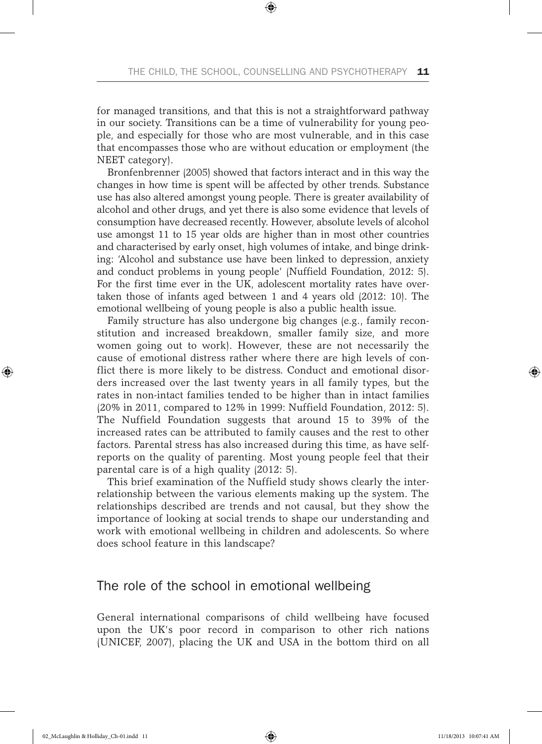⊕

for managed transitions, and that this is not a straightforward pathway in our society. Transitions can be a time of vulnerability for young people, and especially for those who are most vulnerable, and in this case that encompasses those who are without education or employment (the NEET category).

Bronfenbrenner (2005) showed that factors interact and in this way the changes in how time is spent will be affected by other trends. Substance use has also altered amongst young people. There is greater availability of alcohol and other drugs, and yet there is also some evidence that levels of consumption have decreased recently. However, absolute levels of alcohol use amongst 11 to 15 year olds are higher than in most other countries and characterised by early onset, high volumes of intake, and binge drinking: 'Alcohol and substance use have been linked to depression, anxiety and conduct problems in young people' (Nuffield Foundation, 2012: 5). For the first time ever in the UK, adolescent mortality rates have overtaken those of infants aged between 1 and 4 years old (2012: 10). The emotional wellbeing of young people is also a public health issue.

Family structure has also undergone big changes (e.g., family reconstitution and increased breakdown, smaller family size, and more women going out to work). However, these are not necessarily the cause of emotional distress rather where there are high levels of conflict there is more likely to be distress. Conduct and emotional disorders increased over the last twenty years in all family types, but the rates in non-intact families tended to be higher than in intact families (20% in 2011, compared to 12% in 1999: Nuffield Foundation, 2012: 5). The Nuffield Foundation suggests that around 15 to 39% of the increased rates can be attributed to family causes and the rest to other factors. Parental stress has also increased during this time, as have selfreports on the quality of parenting. Most young people feel that their parental care is of a high quality (2012: 5).

This brief examination of the Nuffield study shows clearly the interrelationship between the various elements making up the system. The relationships described are trends and not causal, but they show the importance of looking at social trends to shape our understanding and work with emotional wellbeing in children and adolescents. So where does school feature in this landscape?

# The role of the school in emotional wellbeing

General international comparisons of child wellbeing have focused upon the UK's poor record in comparison to other rich nations (UNICEF, 2007), placing the UK and USA in the bottom third on all

♠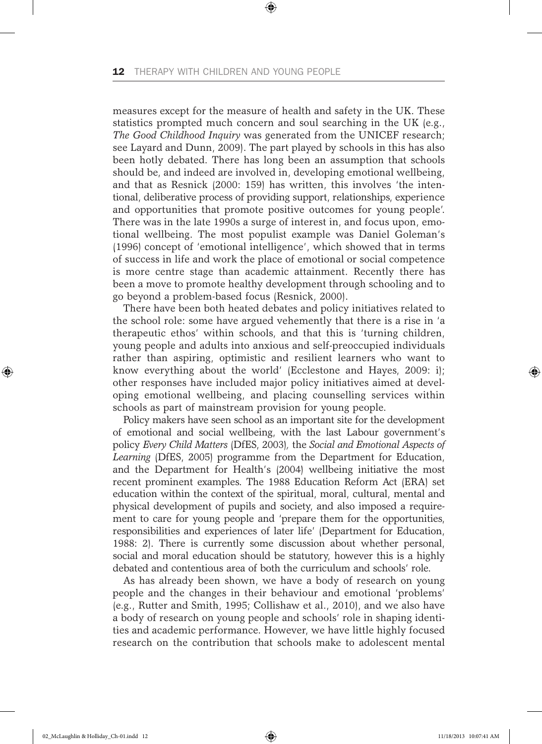measures except for the measure of health and safety in the UK. These statistics prompted much concern and soul searching in the UK (e.g., *The Good Childhood Inquiry* was generated from the UNICEF research; see Layard and Dunn, 2009). The part played by schools in this has also been hotly debated. There has long been an assumption that schools should be, and indeed are involved in, developing emotional wellbeing, and that as Resnick (2000: 159) has written, this involves 'the intentional, deliberative process of providing support, relationships, experience and opportunities that promote positive outcomes for young people'. There was in the late 1990s a surge of interest in, and focus upon, emotional wellbeing. The most populist example was Daniel Goleman's (1996) concept of 'emotional intelligence', which showed that in terms of success in life and work the place of emotional or social competence is more centre stage than academic attainment. Recently there has been a move to promote healthy development through schooling and to go beyond a problem-based focus (Resnick, 2000).

⊕

There have been both heated debates and policy initiatives related to the school role: some have argued vehemently that there is a rise in 'a therapeutic ethos' within schools, and that this is 'turning children, young people and adults into anxious and self-preoccupied individuals rather than aspiring, optimistic and resilient learners who want to know everything about the world' (Ecclestone and Hayes, 2009: i); other responses have included major policy initiatives aimed at developing emotional wellbeing, and placing counselling services within schools as part of mainstream provision for young people.

Policy makers have seen school as an important site for the development of emotional and social wellbeing, with the last Labour government's policy *Every Child Matters* (DfES, 2003)*,* the *Social and Emotional Aspects of Learning* (DfES, 2005) programme from the Department for Education, and the Department for Health's (2004) wellbeing initiative the most recent prominent examples. The 1988 Education Reform Act (ERA) set education within the context of the spiritual, moral, cultural, mental and physical development of pupils and society, and also imposed a requirement to care for young people and 'prepare them for the opportunities, responsibilities and experiences of later life' (Department for Education, 1988: 2). There is currently some discussion about whether personal, social and moral education should be statutory, however this is a highly debated and contentious area of both the curriculum and schools' role.

As has already been shown, we have a body of research on young people and the changes in their behaviour and emotional 'problems' (e.g., Rutter and Smith, 1995; Collishaw et al., 2010), and we also have a body of research on young people and schools' role in shaping identities and academic performance. However, we have little highly focused research on the contribution that schools make to adolescent mental

♠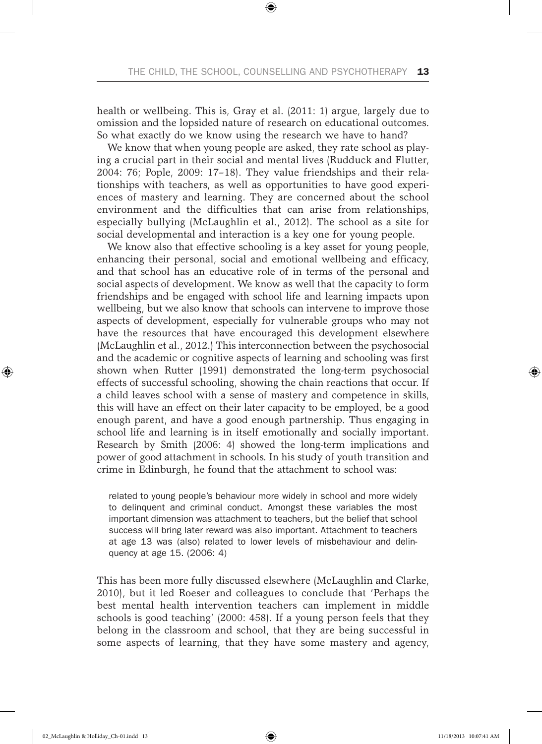health or wellbeing. This is, Gray et al. (2011: 1) argue, largely due to omission and the lopsided nature of research on educational outcomes. So what exactly do we know using the research we have to hand?

We know that when young people are asked, they rate school as playing a crucial part in their social and mental lives (Rudduck and Flutter, 2004: 76; Pople, 2009: 17–18). They value friendships and their relationships with teachers, as well as opportunities to have good experiences of mastery and learning. They are concerned about the school environment and the difficulties that can arise from relationships, especially bullying (McLaughlin et al., 2012). The school as a site for social developmental and interaction is a key one for young people.

We know also that effective schooling is a key asset for young people, enhancing their personal, social and emotional wellbeing and efficacy, and that school has an educative role of in terms of the personal and social aspects of development. We know as well that the capacity to form friendships and be engaged with school life and learning impacts upon wellbeing, but we also know that schools can intervene to improve those aspects of development, especially for vulnerable groups who may not have the resources that have encouraged this development elsewhere (McLaughlin et al., 2012.) This interconnection between the psychosocial and the academic or cognitive aspects of learning and schooling was first shown when Rutter (1991) demonstrated the long-term psychosocial effects of successful schooling, showing the chain reactions that occur. If a child leaves school with a sense of mastery and competence in skills, this will have an effect on their later capacity to be employed, be a good enough parent, and have a good enough partnership. Thus engaging in school life and learning is in itself emotionally and socially important. Research by Smith (2006: 4) showed the long-term implications and power of good attachment in schools. In his study of youth transition and crime in Edinburgh, he found that the attachment to school was:

related to young people's behaviour more widely in school and more widely to delinquent and criminal conduct. Amongst these variables the most important dimension was attachment to teachers, but the belief that school success will bring later reward was also important. Attachment to teachers at age 13 was (also) related to lower levels of misbehaviour and delinquency at age 15. (2006: 4)

This has been more fully discussed elsewhere (McLaughlin and Clarke, 2010), but it led Roeser and colleagues to conclude that 'Perhaps the best mental health intervention teachers can implement in middle schools is good teaching' (2000: 458). If a young person feels that they belong in the classroom and school, that they are being successful in some aspects of learning, that they have some mastery and agency,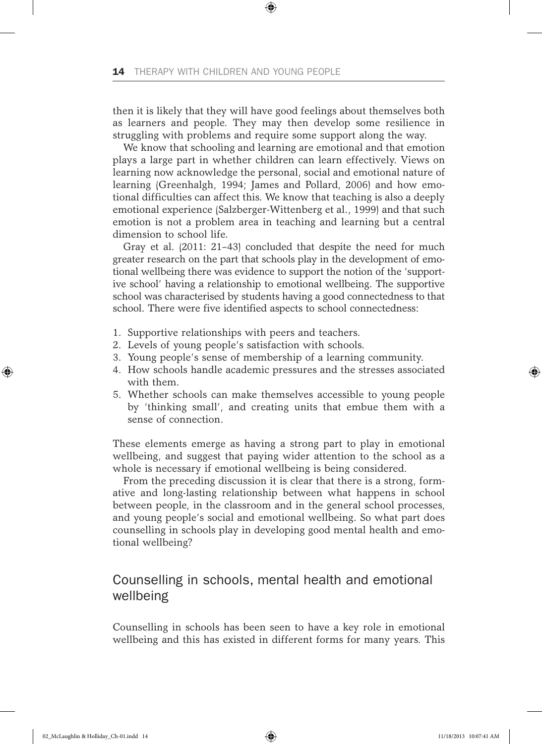then it is likely that they will have good feelings about themselves both as learners and people. They may then develop some resilience in struggling with problems and require some support along the way.

⊕

We know that schooling and learning are emotional and that emotion plays a large part in whether children can learn effectively. Views on learning now acknowledge the personal, social and emotional nature of learning (Greenhalgh, 1994; James and Pollard, 2006) and how emotional difficulties can affect this. We know that teaching is also a deeply emotional experience (Salzberger-Wittenberg et al., 1999) and that such emotion is not a problem area in teaching and learning but a central dimension to school life.

Gray et al. (2011: 21–43) concluded that despite the need for much greater research on the part that schools play in the development of emotional wellbeing there was evidence to support the notion of the 'supportive school' having a relationship to emotional wellbeing. The supportive school was characterised by students having a good connectedness to that school. There were five identified aspects to school connectedness:

- 1. Supportive relationships with peers and teachers.
- 2. Levels of young people's satisfaction with schools.
- 3. Young people's sense of membership of a learning community.
- 4. How schools handle academic pressures and the stresses associated with them.
- 5. Whether schools can make themselves accessible to young people by 'thinking small', and creating units that embue them with a sense of connection.

These elements emerge as having a strong part to play in emotional wellbeing, and suggest that paying wider attention to the school as a whole is necessary if emotional wellbeing is being considered.

From the preceding discussion it is clear that there is a strong, formative and long-lasting relationship between what happens in school between people, in the classroom and in the general school processes, and young people's social and emotional wellbeing. So what part does counselling in schools play in developing good mental health and emotional wellbeing?

# Counselling in schools, mental health and emotional wellbeing

Counselling in schools has been seen to have a key role in emotional wellbeing and this has existed in different forms for many years. This

♠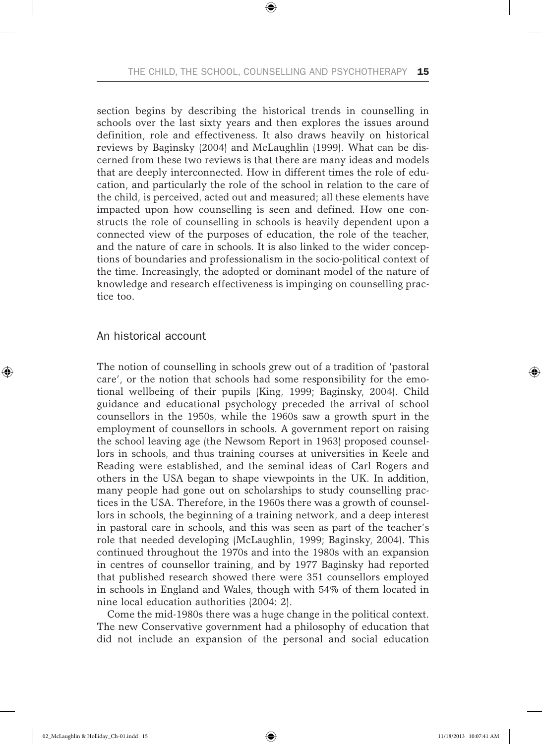section begins by describing the historical trends in counselling in schools over the last sixty years and then explores the issues around definition, role and effectiveness. It also draws heavily on historical reviews by Baginsky (2004) and McLaughlin (1999). What can be discerned from these two reviews is that there are many ideas and models that are deeply interconnected. How in different times the role of education, and particularly the role of the school in relation to the care of the child, is perceived, acted out and measured; all these elements have impacted upon how counselling is seen and defined. How one constructs the role of counselling in schools is heavily dependent upon a connected view of the purposes of education, the role of the teacher, and the nature of care in schools. It is also linked to the wider conceptions of boundaries and professionalism in the socio-political context of the time. Increasingly, the adopted or dominant model of the nature of knowledge and research effectiveness is impinging on counselling practice too.

#### An historical account

♠

The notion of counselling in schools grew out of a tradition of 'pastoral care', or the notion that schools had some responsibility for the emotional wellbeing of their pupils (King, 1999; Baginsky, 2004). Child guidance and educational psychology preceded the arrival of school counsellors in the 1950s, while the 1960s saw a growth spurt in the employment of counsellors in schools. A government report on raising the school leaving age (the Newsom Report in 1963) proposed counsellors in schools, and thus training courses at universities in Keele and Reading were established, and the seminal ideas of Carl Rogers and others in the USA began to shape viewpoints in the UK. In addition, many people had gone out on scholarships to study counselling practices in the USA. Therefore, in the 1960s there was a growth of counsellors in schools, the beginning of a training network, and a deep interest in pastoral care in schools, and this was seen as part of the teacher's role that needed developing (McLaughlin, 1999; Baginsky, 2004). This continued throughout the 1970s and into the 1980s with an expansion in centres of counsellor training, and by 1977 Baginsky had reported that published research showed there were 351 counsellors employed in schools in England and Wales, though with 54% of them located in nine local education authorities (2004: 2).

Come the mid-1980s there was a huge change in the political context. The new Conservative government had a philosophy of education that did not include an expansion of the personal and social education  $\Leftrightarrow$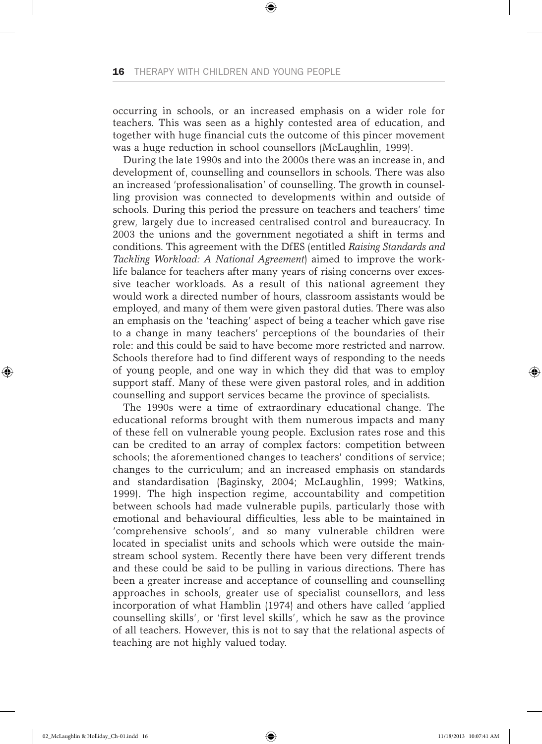occurring in schools, or an increased emphasis on a wider role for teachers. This was seen as a highly contested area of education, and together with huge financial cuts the outcome of this pincer movement was a huge reduction in school counsellors (McLaughlin, 1999).

⊕

During the late 1990s and into the 2000s there was an increase in, and development of, counselling and counsellors in schools. There was also an increased 'professionalisation' of counselling. The growth in counselling provision was connected to developments within and outside of schools. During this period the pressure on teachers and teachers' time grew, largely due to increased centralised control and bureaucracy. In 2003 the unions and the government negotiated a shift in terms and conditions. This agreement with the DfES (entitled *Raising Standards and Tackling Workload: A National Agreement*) aimed to improve the worklife balance for teachers after many years of rising concerns over excessive teacher workloads. As a result of this national agreement they would work a directed number of hours, classroom assistants would be employed, and many of them were given pastoral duties. There was also an emphasis on the 'teaching' aspect of being a teacher which gave rise to a change in many teachers' perceptions of the boundaries of their role: and this could be said to have become more restricted and narrow. Schools therefore had to find different ways of responding to the needs of young people, and one way in which they did that was to employ support staff. Many of these were given pastoral roles, and in addition counselling and support services became the province of specialists.

The 1990s were a time of extraordinary educational change. The educational reforms brought with them numerous impacts and many of these fell on vulnerable young people. Exclusion rates rose and this can be credited to an array of complex factors: competition between schools; the aforementioned changes to teachers' conditions of service; changes to the curriculum; and an increased emphasis on standards and standardisation (Baginsky, 2004; McLaughlin, 1999; Watkins, 1999). The high inspection regime, accountability and competition between schools had made vulnerable pupils, particularly those with emotional and behavioural difficulties, less able to be maintained in 'comprehensive schools', and so many vulnerable children were located in specialist units and schools which were outside the mainstream school system. Recently there have been very different trends and these could be said to be pulling in various directions. There has been a greater increase and acceptance of counselling and counselling approaches in schools, greater use of specialist counsellors, and less incorporation of what Hamblin (1974) and others have called 'applied counselling skills', or 'first level skills', which he saw as the province of all teachers. However, this is not to say that the relational aspects of teaching are not highly valued today.

♠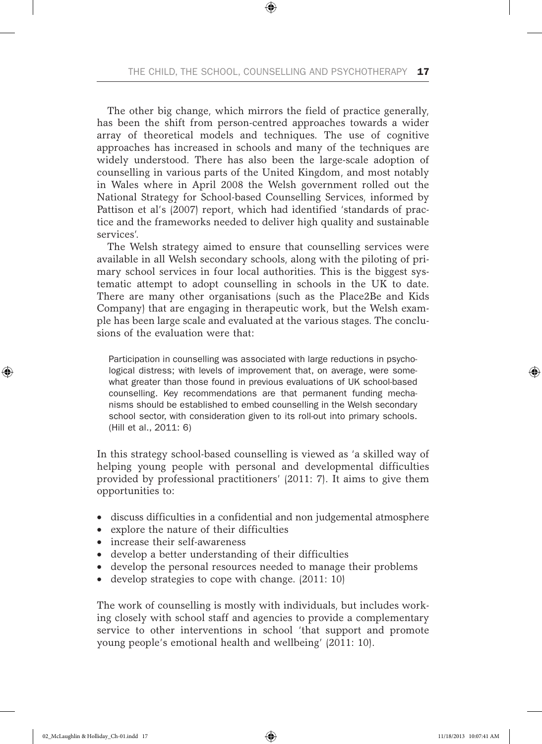⊕

The other big change, which mirrors the field of practice generally, has been the shift from person-centred approaches towards a wider array of theoretical models and techniques. The use of cognitive approaches has increased in schools and many of the techniques are widely understood. There has also been the large-scale adoption of counselling in various parts of the United Kingdom, and most notably in Wales where in April 2008 the Welsh government rolled out the National Strategy for School-based Counselling Services, informed by Pattison et al's (2007) report, which had identified 'standards of practice and the frameworks needed to deliver high quality and sustainable services'.

The Welsh strategy aimed to ensure that counselling services were available in all Welsh secondary schools, along with the piloting of primary school services in four local authorities. This is the biggest systematic attempt to adopt counselling in schools in the UK to date. There are many other organisations (such as the Place2Be and Kids Company) that are engaging in therapeutic work, but the Welsh example has been large scale and evaluated at the various stages. The conclusions of the evaluation were that:

Participation in counselling was associated with large reductions in psychological distress; with levels of improvement that, on average, were somewhat greater than those found in previous evaluations of UK school-based counselling. Key recommendations are that permanent funding mechanisms should be established to embed counselling in the Welsh secondary school sector, with consideration given to its roll-out into primary schools. (Hill et al., 2011: 6)

In this strategy school-based counselling is viewed as 'a skilled way of helping young people with personal and developmental difficulties provided by professional practitioners' (2011: 7). It aims to give them opportunities to:

- discuss difficulties in a confidential and non judgemental atmosphere
- explore the nature of their difficulties
- increase their self-awareness
- develop a better understanding of their difficulties
- develop the personal resources needed to manage their problems
- develop strategies to cope with change. (2011: 10)

The work of counselling is mostly with individuals, but includes working closely with school staff and agencies to provide a complementary service to other interventions in school 'that support and promote young people's emotional health and wellbeing' (2011: 10).

♠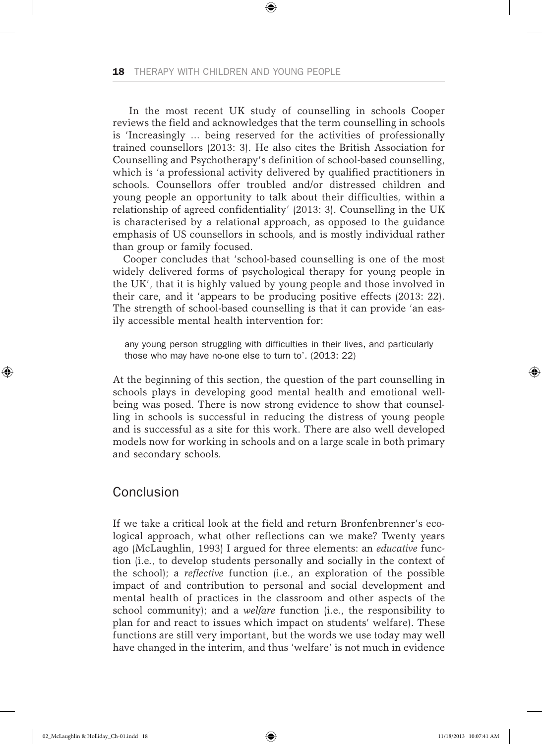In the most recent UK study of counselling in schools Cooper reviews the field and acknowledges that the term counselling in schools is 'Increasingly … being reserved for the activities of professionally trained counsellors (2013: 3). He also cites the British Association for Counselling and Psychotherapy's definition of school-based counselling, which is 'a professional activity delivered by qualified practitioners in schools. Counsellors offer troubled and/or distressed children and young people an opportunity to talk about their difficulties, within a relationship of agreed confidentiality' (2013: 3). Counselling in the UK is characterised by a relational approach, as opposed to the guidance emphasis of US counsellors in schools, and is mostly individual rather than group or family focused.

⊕

Cooper concludes that 'school-based counselling is one of the most widely delivered forms of psychological therapy for young people in the UK', that it is highly valued by young people and those involved in their care, and it 'appears to be producing positive effects (2013: 22). The strength of school-based counselling is that it can provide 'an easily accessible mental health intervention for:

any young person struggling with difficulties in their lives, and particularly those who may have no-one else to turn to'. (2013: 22)

At the beginning of this section, the question of the part counselling in schools plays in developing good mental health and emotional wellbeing was posed. There is now strong evidence to show that counselling in schools is successful in reducing the distress of young people and is successful as a site for this work. There are also well developed models now for working in schools and on a large scale in both primary and secondary schools.

# Conclusion

If we take a critical look at the field and return Bronfenbrenner's ecological approach, what other reflections can we make? Twenty years ago (McLaughlin, 1993) I argued for three elements: an *educative* function (i.e., to develop students personally and socially in the context of the school); a *reflective* function (i.e., an exploration of the possible impact of and contribution to personal and social development and mental health of practices in the classroom and other aspects of the school community); and a *welfare* function (i.e., the responsibility to plan for and react to issues which impact on students' welfare). These functions are still very important, but the words we use today may well have changed in the interim, and thus 'welfare' is not much in evidence

♠